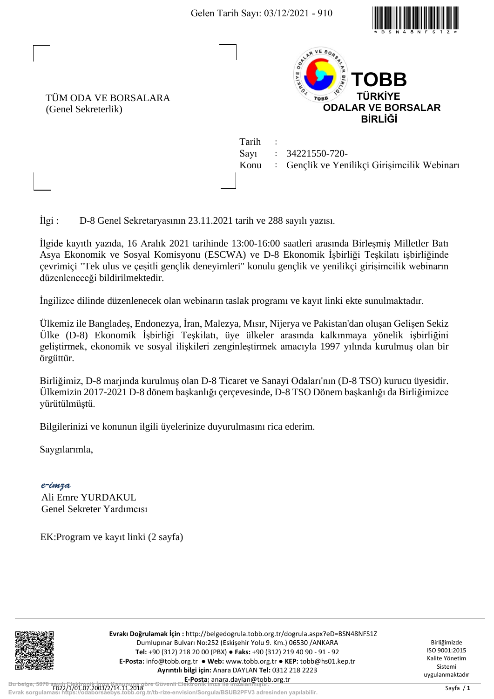

TÜM ODA VE BORSALARA (Genel Sekreterlik)



Tarih : Sayı : 34221550-720- Konu : Gençlik ve Yenilikçi Girişimcilik Webinarı

İlgi : D-8 Genel Sekretaryasının 23.11.2021 tarih ve 288 sayılı yazısı.

İlgide kayıtlı yazıda, 16 Aralık 2021 tarihinde 13:00-16:00 saatleri arasında Birleşmiş Milletler Batı Asya Ekonomik ve Sosyal Komisyonu (ESCWA) ve D-8 Ekonomik İşbirliği Teşkilatı işbirliğinde çevrimiçi "Tek ulus ve çeşitli gençlik deneyimleri" konulu gençlik ve yenilikçi girişimcilik webinarın düzenleneceği bildirilmektedir. Gelen Tarih Sayı: 03/12/2021 - 910<br> **Evropia Sorgular Sorgular (1998)**<br> **Evropia Sorgular Sorgular Sorgular Sorgular Sorgular Sorgular Sorgular Sorgular Sorgular Sorgular Sorgular Sorgular Sorgular Sorgular Sayısıl yazısı<br>** 

İngilizce dilinde düzenlenecek olan webinarın taslak programı ve kayıt linki ekte sunulmaktadır.

Ülkemiz ile Bangladeş, Endonezya, İran, Malezya, Mısır, Nijerya ve Pakistan'dan oluşan Gelişen Sekiz Ülke (D-8) Ekonomik İşbirliği Teşkilatı, üye ülkeler arasında kalkınmaya yönelik işbirliğini geliştirmek, ekonomik ve sosyal ilişkileri zenginleştirmek amacıyla 1997 yılında kurulmuş olan bir örgüttür.

Birliğimiz, D-8 marjında kurulmuş olan D-8 Ticaret ve Sanayi Odaları'nın (D-8 TSO) kurucu üyesidir. Ülkemizin 2017-2021 D-8 dönem başkanlığı çerçevesinde, D-8 TSO Dönem başkanlığı da Birliğimizce yürütülmüştü.

Bilgilerinizi ve konunun ilgili üyelerinize duyurulmasını rica ederim.

Saygılarımla,

*e-imza* Ali Emre YURDAKUL Genel Sekreter Yardımcısı

EK:Program ve kayıt linki (2 sayfa)



**Evrakı Doğrulamak İçin :** http://belgedogrula.tobb.org.tr/dogrula.aspx?eD=BSN48NFS1Z Dumlupınar Bulvarı No:252 (Eskişehir Yolu 9. Km.) 06530 /ANKARA **Tel:** +90 (312) 218 20 00 (PBX) ● **Faks:** +90 (312) 219 40 90 - 91 - 92 **E-Posta:** info@tobb.org.tr ● **Web:** www.tobb.org.tr ● **KEP:** tobb@hs01.kep.tr **Ayrıntılı bilgi için:** Anara DAYLAN **Tel:** 0312 218 2223 **E-Posta:** anara.daylan@tobb.org.tr

Birliğimizde ISO 9001:2015 Kalite Yönetim Sistemi uygulanmaktadır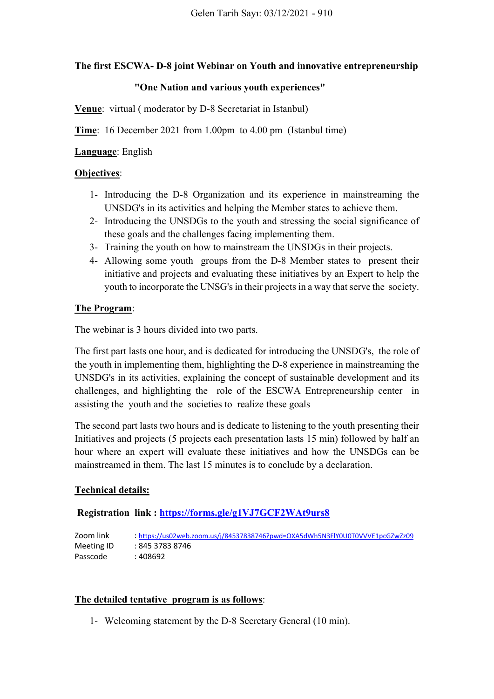# **The first ESCWA- D-8 joint Webinar on Youth and innovative entrepreneurship**

#### **"One Nation and various youth experiences"**

**Venue**: virtual ( moderator by D-8 Secretariat in Istanbul)

**Time**: 16 December 2021 from 1.00pm to 4.00 pm (Istanbul time)

### **Language**: English

### **Objectives**:

- 1- Introducing the D-8 Organization and its experience in mainstreaming the UNSDG's in its activities and helping the Member states to achieve them.
- 2- Introducing the UNSDGs to the youth and stressing the social significance of these goals and the challenges facing implementing them.
- 3- Training the youth on how to mainstream the UNSDGs in their projects.
- 4- Allowing some youth groups from the D-8 Member states to present their initiative and projects and evaluating these initiatives by an Expert to help the youth to incorporate the UNSG's in their projects in a way that serve the society.

### **The Program**:

The webinar is 3 hours divided into two parts.

The first part lasts one hour, and is dedicated for introducing the UNSDG's, the role of the youth in implementing them, highlighting the D-8 experience in mainstreaming the UNSDG's in its activities, explaining the concept of sustainable development and its challenges, and highlighting the role of the ESCWA Entrepreneurship center in assisting the youth and the societies to realize these goals

The second part lasts two hours and is dedicate to listening to the youth presenting their Initiatives and projects (5 projects each presentation lasts 15 min) followed by half an hour where an expert will evaluate these initiatives and how the UNSDGs can be mainstreamed in them. The last 15 minutes is to conclude by a declaration.

# **Technical details:**

# **Registration link :<https://forms.gle/g1VJ7GCF2WAt9urs8>**

Zoom link : <https://us02web.zoom.us/j/84537838746?pwd=OXA5dWh5N3FlY0U0T0VVVE1pcGZwZz09> Meeting ID : 845 3783 8746 Passcode : 408692

# **The detailed tentative program is as follows**:

1- Welcoming statement by the D-8 Secretary General (10 min).